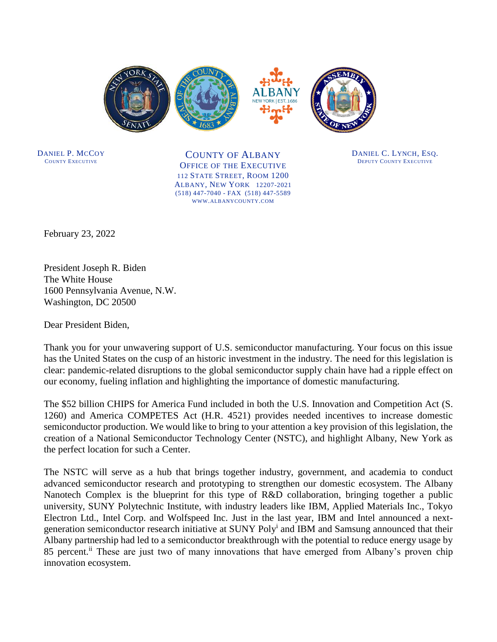

DANIEL P. MCCOY COUNTY EXECUTIVE

COUNTY OF ALBANY OFFICE OF THE EXECUTIVE 112 STATE STREET, ROOM 1200 ALBANY, NEW YORK 12207-2021 (518) 447-7040 - FAX (518) 447-5589 WWW.ALBANYCOUNTY.COM

DANIEL C. LYNCH, ESQ. DEPUTY COUNTY EXECUTIVE

February 23, 2022

President Joseph R. Biden The White House 1600 Pennsylvania Avenue, N.W. Washington, DC 20500

Dear President Biden,

Thank you for your unwavering support of U.S. semiconductor manufacturing. Your focus on this issue has the United States on the cusp of an historic investment in the industry. The need for this legislation is clear: pandemic-related disruptions to the global semiconductor supply chain have had a ripple effect on our economy, fueling inflation and highlighting the importance of domestic manufacturing.

The \$52 billion CHIPS for America Fund included in both the U.S. Innovation and Competition Act (S. 1260) and America COMPETES Act (H.R. 4521) provides needed incentives to increase domestic semiconductor production. We would like to bring to your attention a key provision of this legislation, the creation of a National Semiconductor Technology Center (NSTC), and highlight Albany, New York as the perfect location for such a Center.

The NSTC will serve as a hub that brings together industry, government, and academia to conduct advanced semiconductor research and prototyping to strengthen our domestic ecosystem. The Albany Nanotech Complex is the blueprint for this type of R&D collaboration, bringing together a public university, SUNY Polytechnic Institute, with industry leaders like IBM, Applied Materials Inc., Tokyo Electron Ltd., Intel Corp. and Wolfspeed Inc. Just in the last year, IBM and Intel announced a nextgeneration semiconductor research initiative at SUNY Poly<sup>i</sup> and IBM and Samsung announced that their Albany partnership had led to a semiconductor breakthrough with the potential to reduce energy usage by 85 percent.<sup>ii</sup> These are just two of many innovations that have emerged from Albany's proven chip innovation ecosystem.